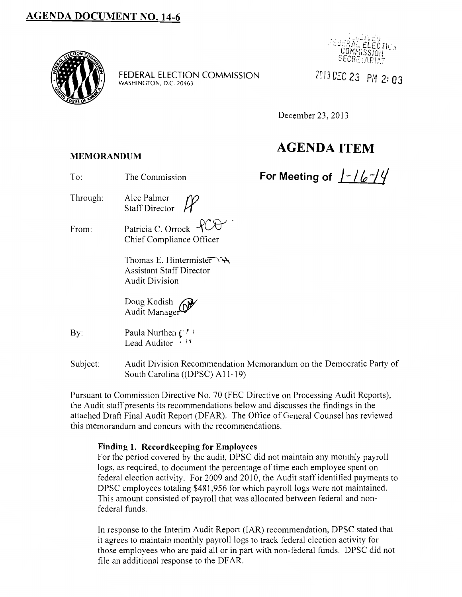

**FEDERAL ELECTION** COMMISSION WASHINGTON, D.C. 20463



*Z0/30!:C23* **PN 2=03** 

December 23,2013

# **AGENDA ITEM**

**MEMORANDUM** 

- To: The Commission **For Meeting of**  $/-\sqrt{6-\frac{1}{2}}$
- Through: Alec Palmer *(Y)* Staff Director **H**
- From: Patricia C. Orrock  $\sqrt{C}$ Chief Compliance Officer

Thomas E. Hintermister $\forall \forall$ Assistant Staff Director Audit Division

Doug Kodish Audit Manager

- By: Paula Nurthen  $\binom{r}{r}$ Lead Auditor  $\cdot$  it
- Subject: Audit Division Recommendation Memorandum on the Democratic Party of South Carolina ((DPSC) All-19)

Pursuant to Commission Directive No. 70 (FEC Directive on Processing Audit Reports), the Audit staff presents its recommendations below and discusses the findings in the attached Draft Final Audit Report (DFAR). The Office of General Counsel has reviewed this memorandum and concurs with the recommendations.

### **Finding 1. Recordkeeping for Employees**

For the period covered by the audit, DPSC did not maintain any monthly payroll logs, as required, to document the percentage of time each employee spent on federal election activity. For 2009 and 2010, the Audit staff identified payments to DPSC employees totaling \$481,956 for which payroll logs were not maintained. This amount consisted of payroll that was allocated between federal and nonfederal funds.

In response to the Interim Audit Report (IAR) recommendation, DPSC stated that it agrees to maintain monthly payroll logs to track federal election activity for those employees who are paid all or in part with non-federal funds. DPSC did not file an additional response to the DF AR.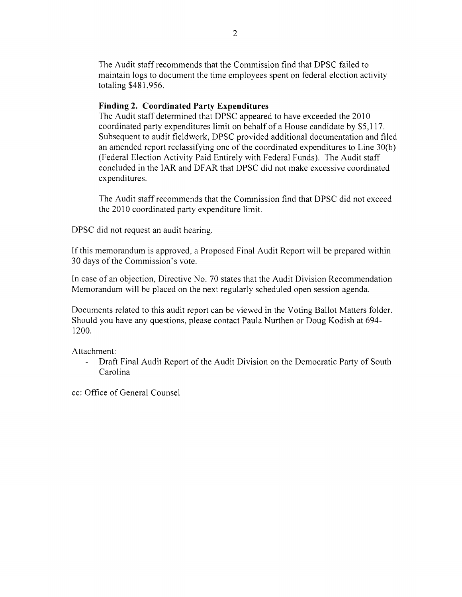The Audit staff recommends that the Commission find that DPSC failed to maintain logs to document the time employees spent on federal election activity totaling \$481,956.

#### **Finding 2. Coordinated Party Expenditures**

The Audit staff determined that DPSC appeared to have exceeded the 2010 coordinated party expenditures limit on behalf of a House candidate by \$5,117. Subsequent to audit fieldwork, DPSC provided additional documentation and filed an amended report reclassifying one of the coordinated expenditures to Line 30(b) (Federal Election Activity Paid Entirely with Federal Funds). The Audit staff concluded in the IAR and DF AR that DPSC did not make excessive coordinated expenditures.

The Audit staff recommends that the Commission find that DPSC did not exceed the 2010 coordinated party expenditure limit.

DPSC did not request an audit hearing.

If this memorandum is approved, a Proposed Final Audit Report will be prepared within 30 days of the Commission's vote.

In case of an objection, Directive No. 70 states that the Audit Division Recommendation Memorandum will be placed on the next regularly scheduled open session agenda.

Documents related to this audit report can be viewed in the Voting Ballot Matters folder. Should you have any questions, please contact Paula Nurthen or Doug Kodish at 694- 1200.

Attachment:

 $\Delta \sim 10$ Draft Final Audit Report of the Audit Division on the Democratic Party of South Carolina

cc: Office of General Counsel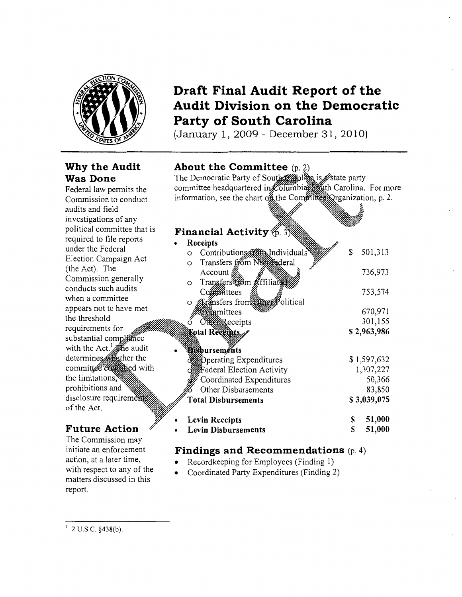

## **Why the Audit Was Done**

Federal law permits the Commission to conduct audits and field investigations of any political committee that is required to file reports under the Federal Election Campaign Act (the Act). The Commission generally conducts such audits when a committee appears not to have met the threshold requirements for substantial compliance with the Act.  $\frac{1}{2}$  the audit determines committee companied with the limitations, prohibitions and disclosure requirements of the Act.

## **Future Action**

The Commission may initiate an enforcement action, at a later time, with respect to any of the matters discussed in this report.

# **Draft Final Audit Report of the Audit Division on the Democratic Party of South Carolina**

(January 1, 2009- December 31, 2010)

## **About the Committee** (p. 2)

The Democratic Party of South Suit committee headquartered in $\chi$ Olumbia information, see the chart of the Committee Organization, p. 2. party Carolina. For more

## Financial Activity  $\frac{2}{10}$

| <b>Financial Activity</b> (p. 3)%       |    |             |
|-----------------------------------------|----|-------------|
| Receipts                                |    |             |
| Contributions to Individuals<br>$\circ$ | \$ | 501,313     |
| Transfers from Negrederal<br>O          |    |             |
| Account §                               |    | 736,973     |
| Transfers #6m &ffiliated<br>O           |    |             |
| Committees                              |    | 753,574     |
| Aransfers from Street olitical<br>O     |    |             |
| <b>Zom</b> mittees                      |    | 670,971     |
| <b>Ofference</b> eceipts                |    | 301,155     |
| Lotal Receipts                          |    | \$2,963,986 |
|                                         |    |             |
| <b>Bishurseménts</b>                    |    |             |
| <b>Operating Expenditures</b>           |    | \$1,597,632 |
| Federal Election Activity               |    | 1,307,227   |
| Coordinated Expenditures                |    | 50,366      |
| Other Disbursements                     |    | 83,850      |
| <b>Total Disbursements</b>              |    | \$3,039,075 |
| <b>Levin Receipts</b>                   | \$ | 51,000      |
| <b>Levin Disbursements</b>              | S  | 51,000      |

## **Findings and Recommendations** (p. 4)

- Recordkeeping for Employees (Finding I)
- Coordinated Party Expenditures (Finding 2)

 $1$  2 U.S.C. §438(b).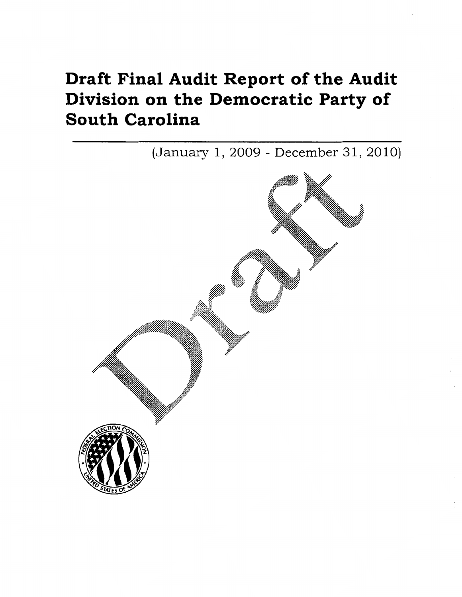# Draft Final Audit Report of the Audit Division on the Democratic Party of South Carolina

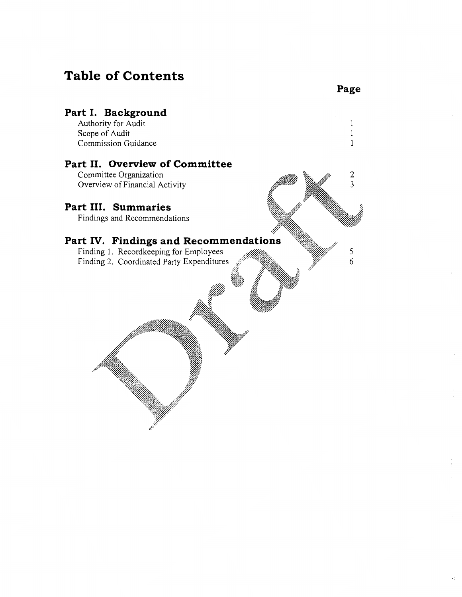## **Table of Contents**



**Page**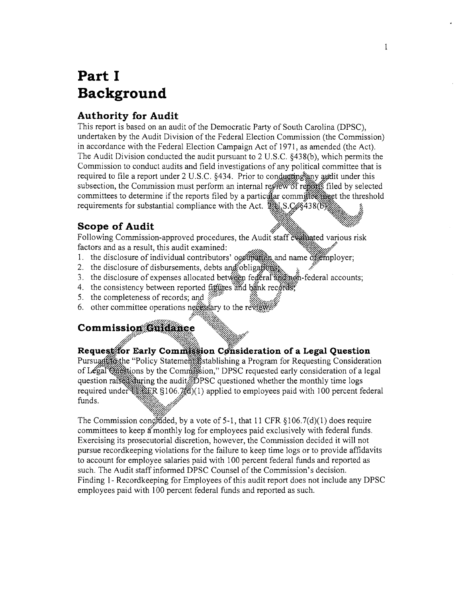# Part I Background

## **Authority for Audit**

This report is based on an audit of the Democratic Party of South Carolina (DPSC), undertaken by the Audit Division of the Federal Election Commission (the Commission) in accordance with the Federal Election Campaign Act of 1971, as amended (the Act). The Audit Division conducted the audit pursuant to 2 U.S.C. §438(b), which permits the Commission to conduct audits and field investigations of any political committee that is required to file a report under 2 U.S.C. §434. Prior to conducting any audit under this subsection, the Commission must perform an internal reflew of regists filed by selected committees to determine if the reports filed by a particular committee miget the threshold requirements for substantial compliance with the Act. 221 S.C. \$438 (6)

## **Scope of Audit**

Following Commission-approved procedures, the Audit staff evaluated various risk factors and as a result, this audit examined:

- 1. the disclosure of individual contributors' occupation and name of employer;
- 2. the disclosure of disbursements, debts and obligations.
- 3. the disclosure of expenses allocated between federal and non-federal accounts;
- 4. the consistency between reported figures and bank records,
- 5. the completeness of records; and
- 6. other committee operations neggssary to the review

## **Commission Guidance**

## Request for Early Commission Consideration of a Legal Question

Pursuant (external Consideration) Pursuan for Requesting Consideration of Legal Offerions by the Commission," DPSC requested early consideration of a legal question raised during the audit DPSC questioned whether the monthly time logs required under  $\frac{1}{2}$  g.F.R §106.7% (1) applied to employees paid with 100 percent federal funds.

The Commission congled by a vote of 5-1, that 11 CFR  $\S106.7(d)(1)$  does require committees to keep a monthly log for employees paid exclusively with federal funds. Exercising its prosecutorial discretion, however, the Commission decided it will not pursue recordkeeping violations for the failure to keep time logs or to provide affidavits to account for employee salaries paid with 100 percent federal funds and reported as such. The Audit staff informed DPSC Counsel of the Commission's decision. Finding 1 - Recordkeeping for Employees of this audit report does not include any DPSC employees paid with 100 percent federal funds and reported as such.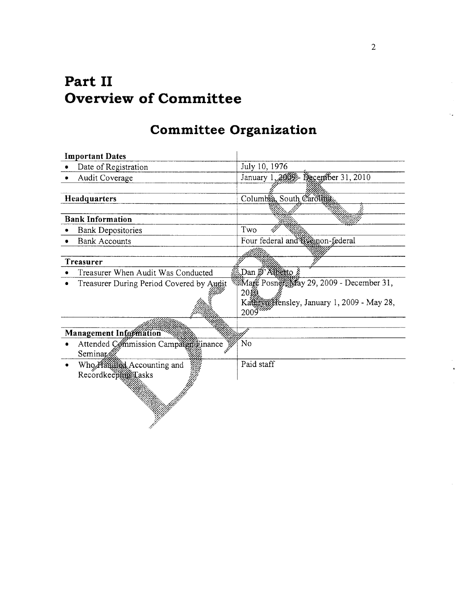# **Part** II **Overview of Committee**

# **Committee Organization**

| <b>Important Dates</b>                   |                                                 |
|------------------------------------------|-------------------------------------------------|
| Date of Registration                     | July 10, 1976                                   |
| Audit Coverage                           | January 1, 2009 - December 31, 2010             |
|                                          |                                                 |
| Headquarters                             | Columbia, South Carolina                        |
|                                          |                                                 |
| <b>Bank Information</b>                  |                                                 |
| <b>Bank Depositories</b>                 | Two                                             |
| <b>Bank Accounts</b>                     | Four federal and twenon-federal                 |
|                                          |                                                 |
| Treasurer                                |                                                 |
| Treasurer When Audit Was Conducted       | Dan D'Albérto                                   |
| Treasurer During Period Covered by Aught | <b>ZMarc Posner May 29, 2009 - December 31,</b> |
|                                          | 2010                                            |
|                                          | Kathim Hensley, January 1, 2009 - May 28,       |
|                                          | $2009^{20}$                                     |
|                                          |                                                 |
| Management Information                   |                                                 |
| Attended Commission Camparent inance     | No                                              |
| Seminar                                  |                                                 |
| Who Handled Accounting and               | Paid staff                                      |
| Recordkeeping Lasks                      |                                                 |
|                                          |                                                 |
|                                          |                                                 |
|                                          |                                                 |
|                                          |                                                 |
|                                          |                                                 |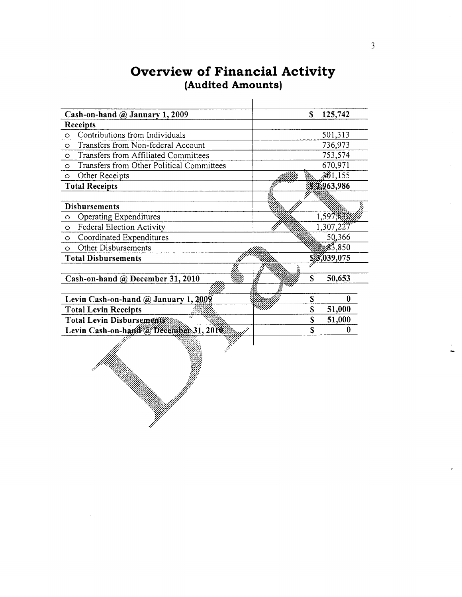| Cash-on-hand @ January 1, 2009                       | S | 125,742         |
|------------------------------------------------------|---|-----------------|
| <b>Receipts</b>                                      |   |                 |
| Contributions from Individuals<br>$\circ$            |   | 501,313         |
| Transfers from Non-federal Account<br>$\circ$        |   | 736,973         |
| Transfers from Affiliated Committees<br>$\circ$      |   | 753,574         |
| Transfers from Other Political Committees<br>$\circ$ |   | 670,971         |
| Other Receipts<br>$\circ$                            |   | 301,155         |
| <b>Total Receipts</b>                                |   | 2,963,986       |
|                                                      |   |                 |
| <b>Disbursements</b>                                 |   |                 |
| Operating Expenditures<br>$\circ$                    |   | 1,597,632       |
| Federal Election Activity<br>$\circ$                 |   | 1,307,227       |
| Coordinated Expenditures<br>$\circ$                  |   | 50,366          |
| Other Disbursements<br>$\circ$                       |   | $\sqrt{83,850}$ |
| <b>Total Disbursements</b>                           |   | 3,039,075       |
|                                                      |   |                 |
| Cash-on-hand @ December 31, 2010                     | S | 50,653          |
|                                                      |   |                 |
| Levin Cash-on-hand $\omega$ January 1, 2009          | S | $\bf{0}$        |
| <b>Total Levin Receipts</b>                          | S | 51,000          |
| Total Levin Disbursements                            | S | 51,000          |
| Levin Cash-on-hand @ December 31, 2010               | Ś | 0               |
|                                                      |   |                 |

## Overview of Financial Activity (Audited Amounts)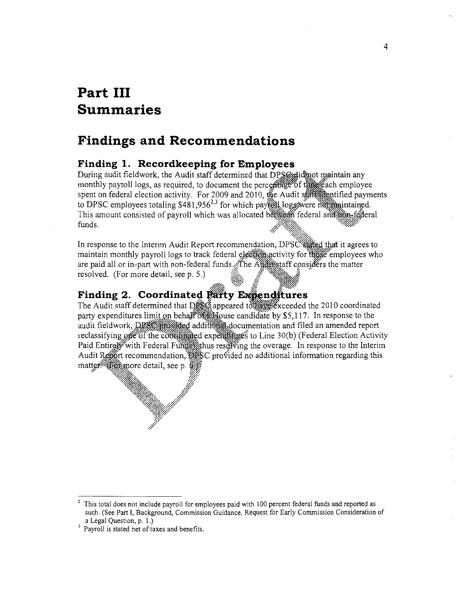# **Part III Summaries**

## **Findings and Recommendations**

## **Finding 1. Recordkeeping for Employees**

During audit fieldwork, the Audit staff determined that DPS@glidgot maintain any monthly payroll logs, as required, to document the perceatage of the each employee spent on federal election activity. For 2009 and 2010, to DPSC employees totaling  $$481,956^{2,3}$  for which payroll This amount consisted of payroll which was allocated between federal and non-federal funds.

In response to the Interim Audit Report recommendation, DPSC stated that it agrees to maintain monthly payroll logs to track federal election activity for this employees who are paid all or in-part with non-federal funds The Augustaff considers the matter resolved. (For more detail, see p. 5.)

### **Finding 2. Coordinated Party Expenditures**

The Audit staff determined that DBSG appeared to a sexual exceeded the 2010 coordinated party expenditures limit on behalf of all louse candidate by \$5,117. In response to the audit fieldwork, *DPSZ provided* additional documentation and filed an amended report reclassifying of the co<del>otalisated</del> experimes to Line 30(b) (Federal Election Activity Paid Entire With Federal Funds thus resolving the overage. In response to the Interim Audit Report recommendation, DPSC provided no additional information regarding this matter//E6frmore detail, see p.

4

 $2$  This total does not include payroll for employees paid with 100 percent federal funds and reported as such. (See Part I, Background, Commission Guidance, Request for Early Commission Consideration of

a Legal Question, p. 1.)<br> $3$  Payroll is stated net of taxes and benefits.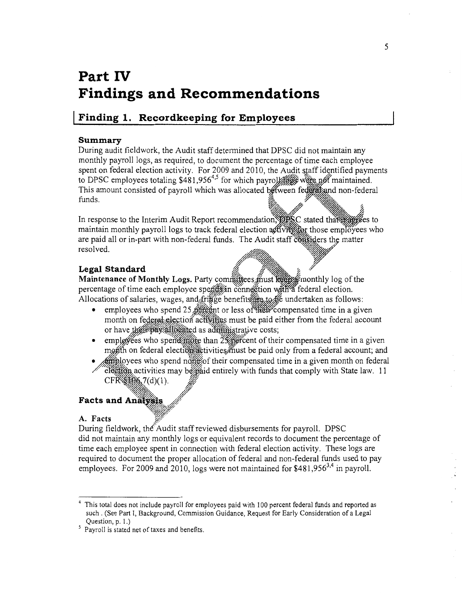# **Part IV Findings and Recommendations**

## **I Finding 1. Recordkeeping for Employees**

#### **Summary**

During audit fieldwork, the Audit staff determined that DPSC did not maintain any monthly payroll logs, as required, to document the percentage of time each employee spent on federal election activity. For 2009 and 2010, the Audit staff identified payments to DPSC employees totaling \$481,956<sup>4,5</sup> for which payroly of we not maintained. This amount consisted of payroll which was allocated between federal and non-federal

funds.<br>In response to the Interim Audit Report recommendation, Supply tated that with the states to maintain monthly payroll logs to track federal election a flivit for those employees who are paid all or in-part with non-federal funds. The Audit staff considers the matter resolved.

لاً *السلام السلام السلام السلام السلام ال*عدة السلام السلام السلام السلام السلام السلام السلام السلام السلام ا<br>السلام السلام السلام السلام السلام السلام السلام السلام السلام السلام السلام السلام السلام السلام السلام السل **Maintenance of Monthly Logs.** Party committees must keep fronthly log of the percentage of time each employee spends in connection with a federal election. Allocations of salaries, wages, and frigge benefits rest undertaken as follows:

employees who spend 25 percent or less of their compensated time in a given month on federal election activities must be paid either from the federal account or have their pay allocated as administrative costs;

~~w~

- employees who spend more than  $2\frac{1}{2}$  excent of their compensated time in a given month on federal election activities must be paid only from a federal account; and
- **Attiblovees** who spend nother their compensated time in a given month on federal election activities may be paid entirely with funds that comply with State law. 11 CFWi~~ 7(d)(l). !JI· ~;;;-% . .{p'

## $\blacksquare$  Facts and Analysis,  $\mathcal{N}$

 $\sim$ 

#### A. Facts

During fieldwork, the Audit staff reviewed disbursements for payroll. DPSC did not maintain any monthly logs or equivalent records to document the percentage of time each employee spent in connection with federal election activity. These logs are required to document the proper allocation of federal and non-federal funds used to pay employees. For 2009 and 2010, logs were not maintained for \$481,956<sup>3,4</sup> in payroll.

<sup>4</sup> This total does not include payroll for employees paid with 100 percent federal funds and reported as such . (See Part I, Background, Commission Guidance, Request for Early Consideration of a Legal Question, p. 1.)

<sup>&</sup>lt;sup>5</sup> Payroll is stated net of taxes and benefits.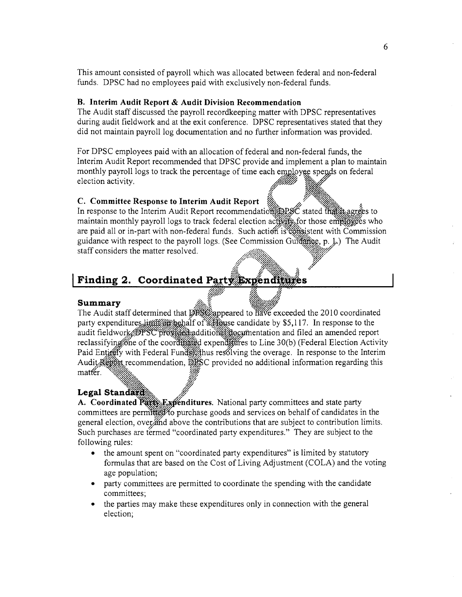This amount consisted of payroll which was allocated between federal and non-federal funds. DPSC had no employees paid with exclusively non-federal funds.

#### **B. Interim Audit Report & Audit Division Recommendation**

The Audit staff discussed the payroll recordkeeping matter with DPSC representatives during audit fieldwork and at the exit conference. DPSC representatives stated that they did not maintain payroll log documentation and no further information was provided.

For DPSC employees paid with an allocation of federal and non-federal funds, the Interim Audit Report recommended that DPSC provide and implement a plan to maintain monthly payroll logs to track the percentage of time each employee spends on federal election activity.

#### **C. Committee Response to Interim Audit Report**

In response to the Interim Audit Report recommendation DPSC stated that the agrees to maintain monthly payroll logs to track federal election activity, for those employees who are paid all or in-part with non-federal funds. Such action is estimated with Commission guidance with respect to the payroll logs. (See Commission Guidance, p. L.) The Audit staff considers the matter resolved.

## **Finding 2. Coordinated**

#### **Summary**

The Audit staff determined that DPS appeared to have exceeded the 2010 coordinated party expenditures limit sighalf of a flouse candidate by \$5,117. In response to the audit fieldwork DPSC progred additional approximentation and filed an amended report reclassifying one of the coordinated expenditures to Line 30(b) (Federal Election Activity Paid Entirely with Federal Funds thus resolving the overage. In response to the Interim Audit Ketter recommendation, DESC provided no additional information regarding this matter.

#### Legal Standard

A. Coordinated Party Expenditures. National party committees and state party committees are permitted to purchase goods and services on behalf of candidates in the general election, over and above the contributions that are subject to contribution limits. Such purchases are termed "coordinated party expenditures." They are subject to the following rules:

- the amount spent on "coordinated party expenditures" is limited by statutory formulas that are based on the Cost of Living Adjustment (COLA) and the voting age population;
- party committees are permitted to coordinate the spending with the candidate committees;
- the parties may make these expenditures only in connection with the general election;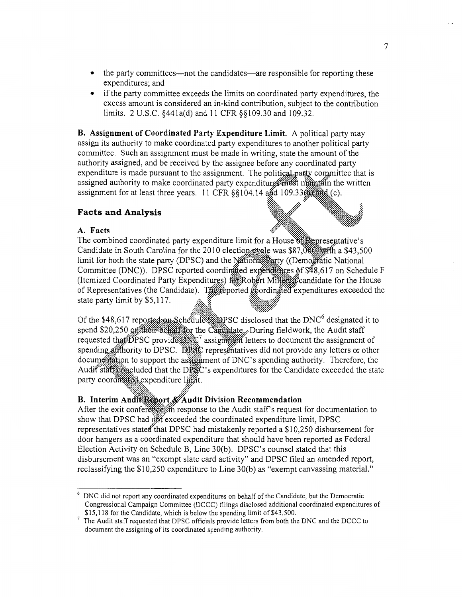- the party committees—not the candidates—are responsible for reporting these expenditures; and
- if the party committee exceeds the limits on coordinated party expenditures, the excess amount is considered an in-kind contribution, subject to the contribution limits. 2 U.S.C. §441a(d) and 11 CFR §§109.30 and 109.32.

B. Assignment of Coordinated Party Expenditure Limit. A political party may assign its authority to make coordinated party expenditures to another political party committee. Such an assignment must be made in writing, state the amount of the authority assigned, and be received by the assignee before any coordinated party expenditure is made pursuant to the assignment. The political party committee that is assigned authority to make coordinated party expenditures maintain the written assignment for at least three years. 11 CFR §§104.14 and 109.33 and (c).

#### **Facts and Analysis**

#### A. Facts

The combined coordinated party expenditure limit for a House of Representative's Candidate in South Carolina for the 2010 election evale was \$87,000 at a \$43,500 limit for both the state party (DPSC) and the National Party ((Demogratic National Committee (DNC)). DPSC reported coordinated experiments of \$48,617 on Schedule F (Itemized Coordinated Party Expenditures) for Robert Miller candidate for the House of Representatives (the Candidate). The reported goordinated expenditures exceeded the state party limit by \$5,117.

Of the \$48,617 reported on Schedule EXPSC disclosed that the DNC<sup>6</sup> designated it to spend \$20,250 ortherr behall for the Candidate, During fieldwork, the Audit staff requested that DPSC provide DNC<sup>7</sup> assigning in letters to document the assignment of spending authority to DPSC. DPSC representatives did not provide any letters or other documentation to support the assignment of DNC's spending authority. Therefore, the Audit staff concluded that the DPSC's expenditures for the Candidate exceeded the state party coordinated expenditure limit.

#### B. Interim Audit Report & Audit Division Recommendation

After the exit conference in response to the Audit staff's request for documentation to show that DPSC had right exceeded the coordinated expenditure limit, DPSC representatives stated that DPSC had mistakenly reported a \$10,250 disbursement for door hangers as a coordinated expenditure that should have been reported as Federal Election Activity on Schedule B, Line 30(b). DPSC's counsel stated that this disbursement was an "exempt slate card activity" and DPSC filed an amended report, reclassifying the \$10,250 expenditure to Line 30(b) as "exempt canvassing material."

<sup>&</sup>lt;sup>6</sup> DNC did not report any coordinated expenditures on behalf of the Candidate, but the Democratic Congressional Campaign Committee (DCCC) filings disclosed additional coordinated expenditures of \$15,118 for the Candidate, which is below the spending limit of \$43,500.

The Audit staff requested that DPSC officials provide letters from both the DNC and the DCCC to document the assigning of its coordinated spending authority.